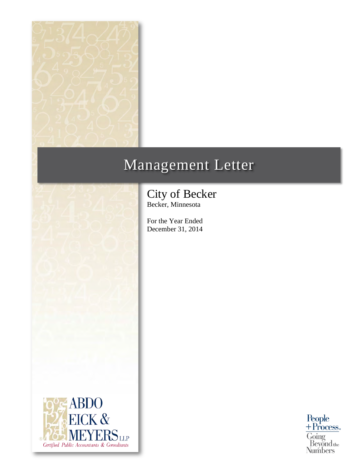

# Management Letter



For the Year Ended December 31, 2014



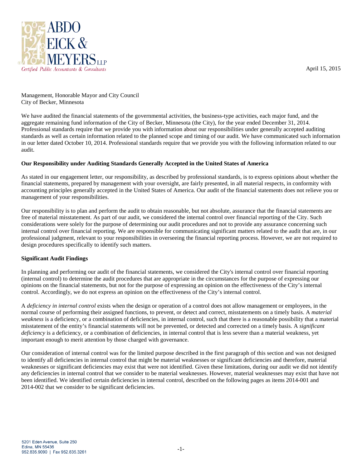

April 15, 2015

Management, Honorable Mayor and City Council City of Becker, Minnesota

We have audited the financial statements of the governmental activities, the business-type activities, each major fund, and the aggregate remaining fund information of the City of Becker, Minnesota (the City), for the year ended December 31, 2014. Professional standards require that we provide you with information about our responsibilities under generally accepted auditing standards as well as certain information related to the planned scope and timing of our audit. We have communicated such information in our letter dated October 10, 2014. Professional standards require that we provide you with the following information related to our audit.

# **Our Responsibility under Auditing Standards Generally Accepted in the United States of America**

As stated in our engagement letter, our responsibility, as described by professional standards, is to express opinions about whether the financial statements, prepared by management with your oversight, are fairly presented, in all material respects, in conformity with accounting principles generally accepted in the United States of America. Our audit of the financial statements does not relieve you or management of your responsibilities.

Our responsibility is to plan and perform the audit to obtain reasonable, but not absolute, assurance that the financial statements are free of material misstatement. As part of our audit, we considered the internal control over financial reporting of the City. Such considerations were solely for the purpose of determining our audit procedures and not to provide any assurance concerning such internal control over financial reporting. We are responsible for communicating significant matters related to the audit that are, in our professional judgment, relevant to your responsibilities in overseeing the financial reporting process. However, we are not required to design procedures specifically to identify such matters.

# **Significant Audit Findings**

In planning and performing our audit of the financial statements, we considered the City's internal control over financial reporting (internal control) to determine the audit procedures that are appropriate in the circumstances for the purpose of expressing our opinions on the financial statements, but not for the purpose of expressing an opinion on the effectiveness of the City's internal control. Accordingly, we do not express an opinion on the effectiveness of the City's internal control.

A *deficiency in internal control* exists when the design or operation of a control does not allow management or employees, in the normal course of performing their assigned functions, to prevent, or detect and correct, misstatements on a timely basis. A *material weakness* is a deficiency, or a combination of deficiencies, in internal control, such that there is a reasonable possibility that a material misstatement of the entity's financial statements will not be prevented, or detected and corrected on a timely basis. A *significant deficiency* is a deficiency, or a combination of deficiencies, in internal control that is less severe than a material weakness, yet important enough to merit attention by those charged with governance.

Our consideration of internal control was for the limited purpose described in the first paragraph of this section and was not designed to identify all deficiencies in internal control that might be material weaknesses or significant deficiencies and therefore, material weaknesses or significant deficiencies may exist that were not identified. Given these limitations, during our audit we did not identify any deficiencies in internal control that we consider to be material weaknesses. However, material weaknesses may exist that have not been identified. We identified certain deficiencies in internal control, described on the following pages as items 2014-001 and 2014-002 that we consider to be significant deficiencies.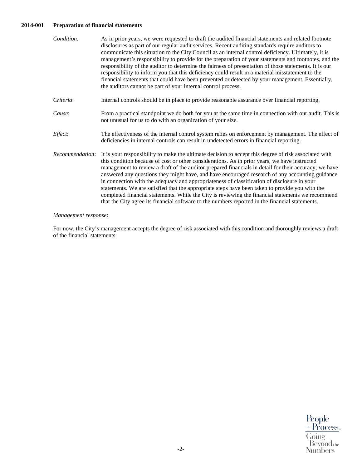# **2014-001 Preparation of financial statements**

| Condition:      | As in prior years, we were requested to draft the audited financial statements and related footnote<br>disclosures as part of our regular audit services. Recent auditing standards require auditors to<br>communicate this situation to the City Council as an internal control deficiency. Ultimately, it is<br>management's responsibility to provide for the preparation of your statements and footnotes, and the<br>responsibility of the auditor to determine the fairness of presentation of those statements. It is our<br>responsibility to inform you that this deficiency could result in a material misstatement to the<br>financial statements that could have been prevented or detected by your management. Essentially,<br>the auditors cannot be part of your internal control process.                    |
|-----------------|------------------------------------------------------------------------------------------------------------------------------------------------------------------------------------------------------------------------------------------------------------------------------------------------------------------------------------------------------------------------------------------------------------------------------------------------------------------------------------------------------------------------------------------------------------------------------------------------------------------------------------------------------------------------------------------------------------------------------------------------------------------------------------------------------------------------------|
| Criteria:       | Internal controls should be in place to provide reasonable assurance over financial reporting.                                                                                                                                                                                                                                                                                                                                                                                                                                                                                                                                                                                                                                                                                                                               |
| Cause:          | From a practical standpoint we do both for you at the same time in connection with our audit. This is<br>not unusual for us to do with an organization of your size.                                                                                                                                                                                                                                                                                                                                                                                                                                                                                                                                                                                                                                                         |
| Effect:         | The effectiveness of the internal control system relies on enforcement by management. The effect of<br>deficiencies in internal controls can result in undetected errors in financial reporting.                                                                                                                                                                                                                                                                                                                                                                                                                                                                                                                                                                                                                             |
| Recommendation: | It is your responsibility to make the ultimate decision to accept this degree of risk associated with<br>this condition because of cost or other considerations. As in prior years, we have instructed<br>management to review a draft of the auditor prepared financials in detail for their accuracy; we have<br>answered any questions they might have, and have encouraged research of any accounting guidance<br>in connection with the adequacy and appropriateness of classification of disclosure in your<br>statements. We are satisfied that the appropriate steps have been taken to provide you with the<br>completed financial statements. While the City is reviewing the financial statements we recommend<br>that the City agree its financial software to the numbers reported in the financial statements. |

#### *Management response*:

For now, the City's management accepts the degree of risk associated with this condition and thoroughly reviews a draft of the financial statements.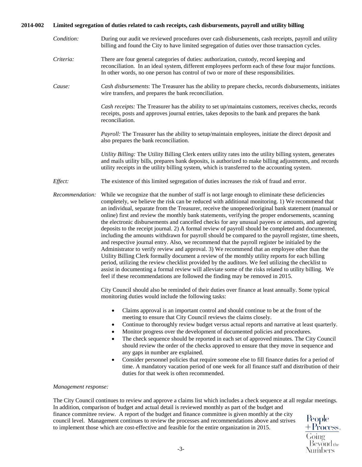# **2014-002 Limited segregation of duties related to cash receipts, cash disbursements, payroll and utility billing**

- *Condition:* During our audit we reviewed procedures over cash disbursements, cash receipts, payroll and utility billing and found the City to have limited segregation of duties over those transaction cycles.
- *Criteria:* There are four general categories of duties: authorization, custody, record keeping and reconciliation. In an ideal system, different employees perform each of these four major functions. In other words, no one person has control of two or more of these responsibilities.
- *Cause: Cash disbursements*: The Treasurer has the ability to prepare checks, records disbursements, initiates wire transfers, and prepares the bank reconciliation.

*Cash receipts:* The Treasurer has the ability to set up/maintains customers, receives checks, records receipts, posts and approves journal entries, takes deposits to the bank and prepares the bank reconciliation.

*Payroll:* The Treasurer has the ability to setup/maintain employees, initiate the direct deposit and also prepares the bank reconciliation.

*Utility Billing:* The Utility Billing Clerk enters utility rates into the utility billing system, generates and mails utility bills, prepares bank deposits, is authorized to make billing adjustments, and records utility receipts in the utility billing system, which is transferred to the accounting system.

- *Effect:* The existence of this limited segregation of duties increases the risk of fraud and error.
- *Recommendation:* While we recognize that the number of staff is not large enough to eliminate these deficiencies completely, we believe the risk can be reduced with additional monitoring. 1) We recommend that an individual, separate from the Treasurer, receive the unopened/original bank statement (manual or online) first and review the monthly bank statements, verifying the proper endorsements, scanning the electronic disbursements and cancelled checks for any unusual payees or amounts, and agreeing deposits to the receipt journal. 2) A formal review of payroll should be completed and documented, including the amounts withdrawn for payroll should be compared to the payroll register, time sheets, and respective journal entry. Also, we recommend that the payroll register be initialed by the Administrator to verify review and approval. 3) We recommend that an employee other than the Utility Billing Clerk formally document a review of the monthly utility reports for each billing period, utilizing the review checklist provided by the auditors. We feel utilizing the checklist to assist in documenting a formal review will alleviate some of the risks related to utility billing. We feel if these recommendations are followed the finding may be removed in 2015.

City Council should also be reminded of their duties over finance at least annually. Some typical monitoring duties would include the following tasks:

- Claims approval is an important control and should continue to be at the front of the meeting to ensure that City Council reviews the claims closely.
- Continue to thoroughly review budget versus actual reports and narrative at least quarterly.
- Monitor progress over the development of documented policies and procedures.
- The check sequence should be reported in each set of approved minutes. The City Council should review the order of the checks approved to ensure that they move in sequence and any gaps in number are explained.
- Consider personnel policies that require someone else to fill finance duties for a period of time. A mandatory vacation period of one week for all finance staff and distribution of their duties for that week is often recommended.

#### *Management response:*

The City Council continues to review and approve a claims list which includes a check sequence at all regular meetings. In addition, comparison of budget and actual detail is reviewed monthly as part of the budget and finance committee review. A report of the budget and finance committee is given monthly at the city People council level. Management continues to review the processes and recommendations above and strives to implement those which are cost-effective and feasible for the entire organization in 2015.

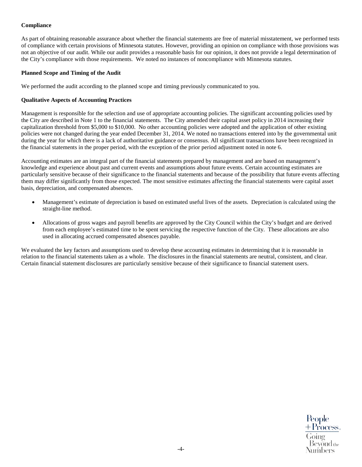# **Compliance**

As part of obtaining reasonable assurance about whether the financial statements are free of material misstatement, we performed tests of compliance with certain provisions of Minnesota statutes. However, providing an opinion on compliance with those provisions was not an objective of our audit. While our audit provides a reasonable basis for our opinion, it does not provide a legal determination of the City's compliance with those requirements. We noted no instances of noncompliance with Minnesota statutes.

#### **Planned Scope and Timing of the Audit**

We performed the audit according to the planned scope and timing previously communicated to you.

#### **Qualitative Aspects of Accounting Practices**

Management is responsible for the selection and use of appropriate accounting policies. The significant accounting policies used by the City are described in Note 1 to the financial statements. The City amended their capital asset policy in 2014 increasing their capitalization threshold from \$5,000 to \$10,000. No other accounting policies were adopted and the application of other existing policies were not changed during the year ended December 31, 2014. We noted no transactions entered into by the governmental unit during the year for which there is a lack of authoritative guidance or consensus. All significant transactions have been recognized in the financial statements in the proper period, with the exception of the prior period adjustment noted in note 6.

Accounting estimates are an integral part of the financial statements prepared by management and are based on management's knowledge and experience about past and current events and assumptions about future events. Certain accounting estimates are particularly sensitive because of their significance to the financial statements and because of the possibility that future events affecting them may differ significantly from those expected. The most sensitive estimates affecting the financial statements were capital asset basis, depreciation, and compensated absences.

- Management's estimate of depreciation is based on estimated useful lives of the assets. Depreciation is calculated using the straight-line method.
- Allocations of gross wages and payroll benefits are approved by the City Council within the City's budget and are derived from each employee's estimated time to be spent servicing the respective function of the City. These allocations are also used in allocating accrued compensated absences payable.

We evaluated the key factors and assumptions used to develop these accounting estimates in determining that it is reasonable in relation to the financial statements taken as a whole. The disclosures in the financial statements are neutral, consistent, and clear. Certain financial statement disclosures are particularly sensitive because of their significance to financial statement users.

People  $+$ Process.  $\frac{1188}{\text{Going}}$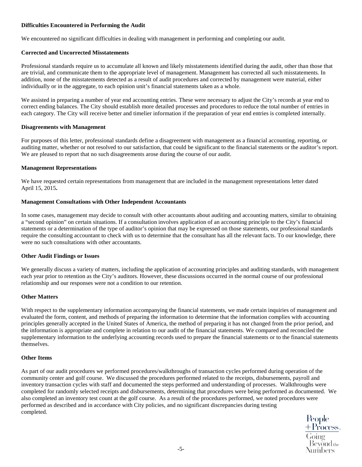# **Difficulties Encountered in Performing the Audit**

We encountered no significant difficulties in dealing with management in performing and completing our audit.

#### **Corrected and Uncorrected Misstatements**

Professional standards require us to accumulate all known and likely misstatements identified during the audit, other than those that are trivial, and communicate them to the appropriate level of management. Management has corrected all such misstatements. In addition, none of the misstatements detected as a result of audit procedures and corrected by management were material, either individually or in the aggregate, to each opinion unit's financial statements taken as a whole.

We assisted in preparing a number of year end accounting entries. These were necessary to adjust the City's records at year end to correct ending balances. The City should establish more detailed processes and procedures to reduce the total number of entries in each category. The City will receive better and timelier information if the preparation of year end entries is completed internally.

#### **Disagreements with Management**

For purposes of this letter, professional standards define a disagreement with management as a financial accounting, reporting, or auditing matter, whether or not resolved to our satisfaction, that could be significant to the financial statements or the auditor's report. We are pleased to report that no such disagreements arose during the course of our audit.

#### **Management Representations**

We have requested certain representations from management that are included in the management representations letter dated April 15, 2015**.** 

#### **Management Consultations with Other Independent Accountants**

In some cases, management may decide to consult with other accountants about auditing and accounting matters, similar to obtaining a "second opinion" on certain situations. If a consultation involves application of an accounting principle to the City's financial statements or a determination of the type of auditor's opinion that may be expressed on those statements, our professional standards require the consulting accountant to check with us to determine that the consultant has all the relevant facts. To our knowledge, there were no such consultations with other accountants.

# **Other Audit Findings or Issues**

We generally discuss a variety of matters, including the application of accounting principles and auditing standards, with management each year prior to retention as the City's auditors. However, these discussions occurred in the normal course of our professional relationship and our responses were not a condition to our retention.

# **Other Matters**

With respect to the supplementary information accompanying the financial statements, we made certain inquiries of management and evaluated the form, content, and methods of preparing the information to determine that the information complies with accounting principles generally accepted in the United States of America, the method of preparing it has not changed from the prior period, and the information is appropriate and complete in relation to our audit of the financial statements. We compared and reconciled the supplementary information to the underlying accounting records used to prepare the financial statements or to the financial statements themselves.

#### **Other Items**

As part of our audit procedures we performed procedures/walkthroughs of transaction cycles performed during operation of the community center and golf course. We discussed the procedures performed related to the receipts, disbursements, payroll and inventory transaction cycles with staff and documented the steps performed and understanding of processes. Walkthroughs were completed for randomly selected receipts and disbursements, determining that procedures were being performed as documented. We also completed an inventory test count at the golf course. As a result of the procedures performed, we noted procedures were performed as described and in accordance with City policies, and no significant discrepancies during testing completed.

People<br>+ Process<br>Going<br>\_Beyond<sub>the</sub>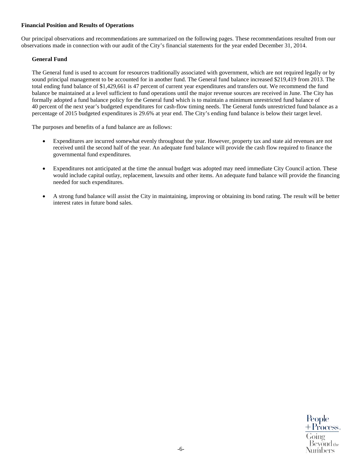# **Financial Position and Results of Operations**

Our principal observations and recommendations are summarized on the following pages. These recommendations resulted from our observations made in connection with our audit of the City's financial statements for the year ended December 31, 2014.

# **General Fund**

The General fund is used to account for resources traditionally associated with government, which are not required legally or by sound principal management to be accounted for in another fund. The General fund balance increased \$219,419 from 2013. The total ending fund balance of \$1,429,661 is 47 percent of current year expenditures and transfers out. We recommend the fund balance be maintained at a level sufficient to fund operations until the major revenue sources are received in June. The City has formally adopted a fund balance policy for the General fund which is to maintain a minimum unrestricted fund balance of 40 percent of the next year's budgeted expenditures for cash-flow timing needs. The General funds unrestricted fund balance as a percentage of 2015 budgeted expenditures is 29.6% at year end. The City's ending fund balance is below their target level.

The purposes and benefits of a fund balance are as follows:

- Expenditures are incurred somewhat evenly throughout the year. However, property tax and state aid revenues are not received until the second half of the year. An adequate fund balance will provide the cash flow required to finance the governmental fund expenditures.
- Expenditures not anticipated at the time the annual budget was adopted may need immediate City Council action. These would include capital outlay, replacement, lawsuits and other items. An adequate fund balance will provide the financing needed for such expenditures.
- A strong fund balance will assist the City in maintaining, improving or obtaining its bond rating. The result will be better interest rates in future bond sales.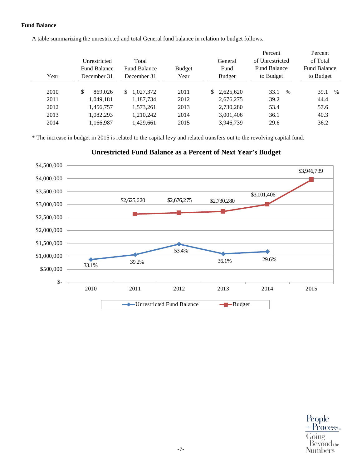# **Fund Balance**

A table summarizing the unrestricted and total General fund balance in relation to budget follows.

| Year | Unrestricted<br><b>Fund Balance</b><br>December 31 | Total<br><b>Fund Balance</b><br>December 31 | <b>Budget</b><br>Year | General<br>Fund<br>Budget | Percent<br>of Unrestricted<br><b>Fund Balance</b><br>to Budget | Percent<br>of Total<br><b>Fund Balance</b><br>to Budget |
|------|----------------------------------------------------|---------------------------------------------|-----------------------|---------------------------|----------------------------------------------------------------|---------------------------------------------------------|
| 2010 | \$<br>869,026                                      | 1,027,372<br>S.                             | 2011                  | \$2,625,620               | 33.1<br>$\%$                                                   | 39.1<br>$\%$                                            |
| 2011 | 1,049,181                                          | 1.187.734                                   | 2012                  | 2,676,275                 | 39.2                                                           | 44.4                                                    |
| 2012 | 1,456,757                                          | 1.573.261                                   | 2013                  | 2,730,280                 | 53.4                                                           | 57.6                                                    |
| 2013 | 1.082.293                                          | 1,210,242                                   | 2014                  | 3,001,406                 | 36.1                                                           | 40.3                                                    |
| 2014 | 1,166,987                                          | 1,429,661                                   | 2015                  | 3,946,739                 | 29.6                                                           | 36.2                                                    |

\* The increase in budget in 2015 is related to the capital levy and related transfers out to the revolving capital fund.

**Unrestricted Fund Balance as a Percent of Next Year's Budget**

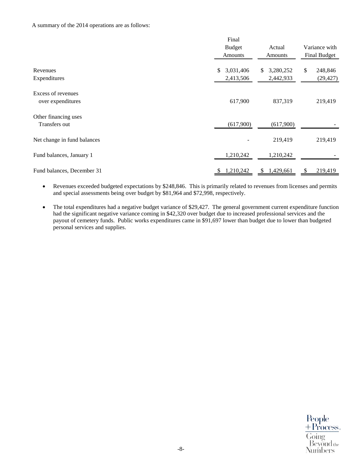#### A summary of the 2014 operations are as follows:

|                                         | Final                        |                              |                            |
|-----------------------------------------|------------------------------|------------------------------|----------------------------|
|                                         | <b>Budget</b>                | Actual                       | Variance with              |
|                                         | <b>Amounts</b>               | <b>Amounts</b>               | Final Budget               |
| Revenues<br>Expenditures                | 3,031,406<br>\$<br>2,413,506 | 3,280,252<br>S.<br>2,442,933 | \$<br>248,846<br>(29, 427) |
| Excess of revenues<br>over expenditures | 617,900                      | 837,319                      | 219,419                    |
| Other financing uses<br>Transfers out   | (617,900)                    | (617,900)                    |                            |
| Net change in fund balances             |                              | 219,419                      | 219,419                    |
| Fund balances, January 1                | 1,210,242                    | 1,210,242                    |                            |
| Fund balances, December 31              | 1,210,242<br>S               | 1,429,661<br>S.              | 219,419<br>\$              |

- Revenues exceeded budgeted expectations by \$248,846. This is primarily related to revenues from licenses and permits and special assessments being over budget by \$81,964 and \$72,998, respectively.
- The total expenditures had a negative budget variance of \$29,427. The general government current expenditure function had the significant negative variance coming in \$42,320 over budget due to increased professional services and the payout of cemetery funds. Public works expenditures came in \$91,697 lower than budget due to lower than budgeted personal services and supplies.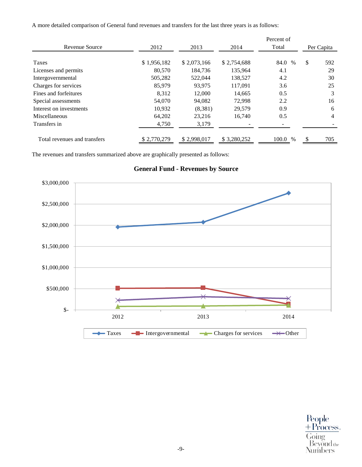A more detailed comparison of General fund revenues and transfers for the last three years is as follows:

|                              |             |             |             | Percent of |            |     |
|------------------------------|-------------|-------------|-------------|------------|------------|-----|
| Revenue Source               | 2012        | 2013        | 2014        | Total      | Per Capita |     |
| Taxes                        | \$1,956,182 | \$2,073,166 | \$2,754,688 | 84.0 %     | \$         | 592 |
| Licenses and permits         | 80,570      | 184,736     | 135,964     | 4.1        |            | 29  |
| Intergovernmental            | 505,282     | 522,044     | 138,527     | 4.2        |            | 30  |
| Charges for services         | 85,979      | 93,975      | 117,091     | 3.6        |            | 25  |
| Fines and forfeitures        | 8,312       | 12,000      | 14,665      | 0.5        |            | 3   |
| Special assessments          | 54,070      | 94.082      | 72.998      | 2.2        |            | 16  |
| Interest on investments      | 10,932      | (8,381)     | 29,579      | 0.9        |            | 6   |
| Miscellaneous                | 64,202      | 23,216      | 16,740      | 0.5        |            | 4   |
| Transfers in                 | 4,750       | 3,179       |             |            |            |     |
| Total revenues and transfers | \$2,770,279 | \$2,998,017 | \$3,280,252 | 100.0 %    |            | 705 |

The revenues and transfers summarized above are graphically presented as follows:



**General Fund - Revenues by Source**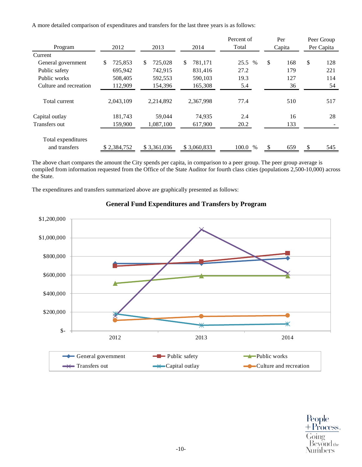A more detailed comparison of expenditures and transfers for the last three years is as follows:

| Program                             | 2012<br>2013  |               | 2014          | Percent of<br>Total | Per<br>Capita |     | Peer Group<br>Per Capita |     |
|-------------------------------------|---------------|---------------|---------------|---------------------|---------------|-----|--------------------------|-----|
| Current                             |               |               |               |                     |               |     |                          |     |
| General government                  | 725,853<br>\$ | \$<br>725,028 | \$<br>781,171 | 25.5 %              | \$            | 168 | \$                       | 128 |
| Public safety                       | 695,942       | 742,915       | 831.416       | 27.2                |               | 179 |                          | 221 |
| Public works                        | 508,405       | 592,553       | 590,103       | 19.3                |               | 127 |                          | 114 |
| Culture and recreation              | 112,909       | 154,396       | 165,308       | 5.4                 |               | 36  |                          | 54  |
| Total current                       | 2,043,109     | 2,214,892     | 2,367,998     | 77.4                |               | 510 |                          | 517 |
| Capital outlay                      | 181,743       | 59,044        | 74,935        | 2.4                 |               | 16  |                          | 28  |
| <b>Transfers out</b>                | 159,900       | 1,087,100     | 617,900       | 20.2                |               | 133 |                          |     |
| Total expenditures<br>and transfers | \$2,384,752   | \$3,361,036   | \$3,060,833   | 100.0 %             |               | 659 |                          | 545 |

The above chart compares the amount the City spends per capita, in comparison to a peer group. The peer group average is compiled from information requested from the Office of the State Auditor for fourth class cities (populations 2,500-10,000) across the State.

The expenditures and transfers summarized above are graphically presented as follows:



# **General Fund Expenditures and Transfers by Program**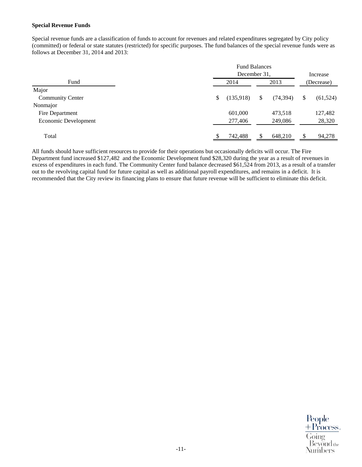#### **Special Revenue Funds**

Special revenue funds are a classification of funds to account for revenues and related expenditures segregated by City policy (committed) or federal or state statutes (restricted) for specific purposes. The fund balances of the special revenue funds were as follows at December 31, 2014 and 2013:

|                                                               | Increase        |
|---------------------------------------------------------------|-----------------|
| December 31.                                                  |                 |
| Fund<br>2014<br>2013                                          | (Decrease)      |
| Major                                                         |                 |
| (135,918)<br>\$<br><b>Community Center</b><br>(74, 394)<br>\$ | (61, 524)<br>\$ |
| Nonmajor                                                      |                 |
| 601,000<br>473,518<br>Fire Department                         | 127,482         |
| Economic Development<br>277,406<br>249,086                    | 28,320          |
|                                                               |                 |
| Total<br>742,488<br>\$<br>648,210                             | 94,278          |

All funds should have sufficient resources to provide for their operations but occasionally deficits will occur. The Fire Department fund increased \$127,482 and the Economic Development fund \$28,320 during the year as a result of revenues in excess of expenditures in each fund. The Community Center fund balance decreased \$61,524 from 2013, as a result of a transfer out to the revolving capital fund for future capital as well as additional payroll expenditures, and remains in a deficit. It is recommended that the City review its financing plans to ensure that future revenue will be sufficient to eliminate this deficit.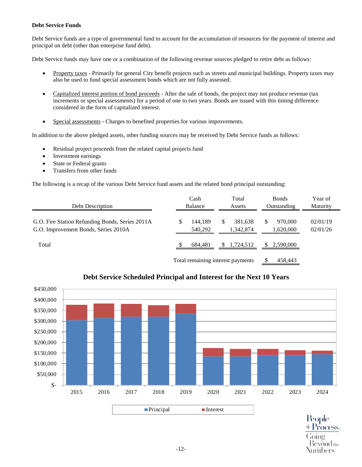# **Debt Service Funds**

Debt Service funds are a type of governmental fund to account for the accumulation of resources for the payment of interest and principal on debt (other than enterprise fund debt).

Debt Service funds may have one or a combination of the following revenue sources pledged to retire debt as follows:

- Property taxes Primarily for general City benefit projects such as streets and municipal buildings. Property taxes may also be used to fund special assessment bonds which are not fully assessed.
- Capitalized interest portion of bond proceeds After the sale of bonds, the project may not produce revenue (tax increments or special assessments) for a period of one to two years. Bonds are issued with this timing difference considered in the form of capitalized interest.
- Special assessments Charges to benefited properties for various improvements.

In addition to the above pledged assets, other funding sources may be received by Debt Service funds as follows:

- Residual project proceeds from the related capital projects fund
- Investment earnings
- State or Federal grants
- Transfers from other funds

The following is a recap of the various Debt Service fund assets and the related bond principal outstanding:

| Debt Description                                                                        |                                   | Cash<br>Balance    |    | Total<br>Assets      |   | <b>Bonds</b><br>Outstanding | Year of<br>Maturity  |
|-----------------------------------------------------------------------------------------|-----------------------------------|--------------------|----|----------------------|---|-----------------------------|----------------------|
| G.O. Fire Station Refunding Bonds, Series 2011A<br>G.O. Improvement Bonds, Series 2010A | \$                                | 144.189<br>540,292 | \$ | 381.638<br>1,342,874 | S | 970,000<br>1,620,000        | 02/01/19<br>02/01/26 |
| Total                                                                                   |                                   | 684,481            |    | 1,724,512            |   | 2,590,000                   |                      |
|                                                                                         | Total remaining interest payments |                    |    |                      |   | 458,443                     |                      |



# **Debt Service Scheduled Principal and Interest for the Next 10 Years**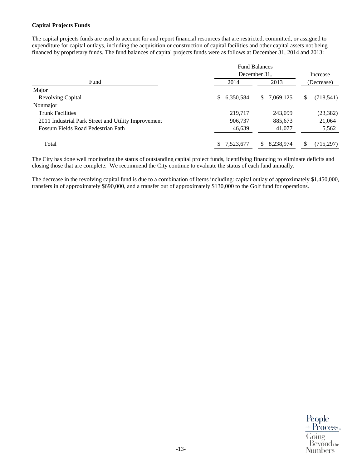# **Capital Projects Funds**

The capital projects funds are used to account for and report financial resources that are restricted, committed, or assigned to expenditure for capital outlays, including the acquisition or construction of capital facilities and other capital assets not being financed by proprietary funds. The fund balances of capital projects funds were as follows at December 31, 2014 and 2013:

|                                                     | <b>Fund Balances</b> |                 |                  |
|-----------------------------------------------------|----------------------|-----------------|------------------|
|                                                     | December 31,         | Increase        |                  |
| Fund                                                | 2014                 | 2013            | (Decrease)       |
| Major                                               |                      |                 |                  |
| <b>Revolving Capital</b>                            | 6,350,584<br>\$      | 7,069,125<br>S. | (718, 541)<br>\$ |
| Nonmajor                                            |                      |                 |                  |
| <b>Trunk Facilities</b>                             | 219,717              | 243,099         | (23, 382)        |
| 2011 Industrial Park Street and Utility Improvement | 906,737              | 885,673         | 21,064           |
| Fossum Fields Road Pedestrian Path                  | 46,639               | 41,077          | 5,562            |
| Total                                               | 7,523,677            | 8,238,974       | (715, 297)       |

The City has done well monitoring the status of outstanding capital project funds, identifying financing to eliminate deficits and closing those that are complete. We recommend the City continue to evaluate the status of each fund annually.

The decrease in the revolving capital fund is due to a combination of items including: capital outlay of approximately \$1,450,000, transfers in of approximately \$690,000, and a transfer out of approximately \$130,000 to the Golf fund for operations.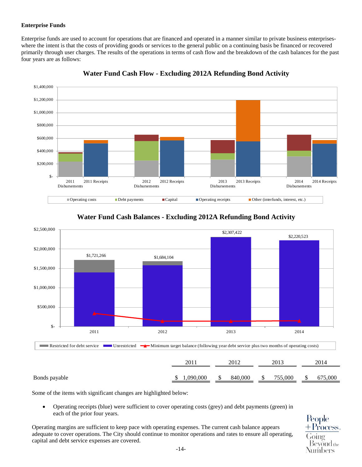# **Enterprise Funds**

Enterprise funds are used to account for operations that are financed and operated in a manner similar to private business enterpriseswhere the intent is that the costs of providing goods or services to the general public on a continuing basis be financed or recovered primarily through user charges. The results of the operations in terms of cash flow and the breakdown of the cash balances for the past four years are as follows:



**Water Fund Cash Flow - Excluding 2012A Refunding Bond Activity** 



# **Water Fund Cash Balances - Excluding 2012A Refunding Bond Activity**

Bonds payable 675,000 \$ 1,090,000 \$ 840,000 \$ 755,000 \$ 675,000

Some of the items with significant changes are highlighted below:

• Operating receipts (blue) were sufficient to cover operating costs (grey) and debt payments (green) in each of the prior four years.

Operating margins are sufficient to keep pace with operating expenses. The current cash balance appears adequate to cover operations. The City should continue to monitor operations and rates to ensure all operating, capital and debt service expenses are covered.

People Process. Bevond the Numbers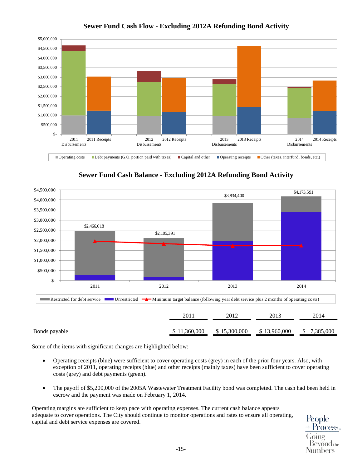

**Sewer Fund Cash Flow - Excluding 2012A Refunding Bond Activity** 





Some of the items with significant changes are highlighted below:

- Operating receipts (blue) were sufficient to cover operating costs (grey) in each of the prior four years. Also, with exception of 2011, operating receipts (blue) and other receipts (mainly taxes) have been sufficient to cover operating costs (grey) and debt payments (green).
- The payoff of \$5,200,000 of the 2005A Wastewater Treatment Facility bond was completed. The cash had been held in escrow and the payment was made on February 1, 2014.

Operating margins are sufficient to keep pace with operating expenses. The current cash balance appears adequate to cover operations. The City should continue to monitor operations and rates to ensure all operating, capital and debt service expenses are covered.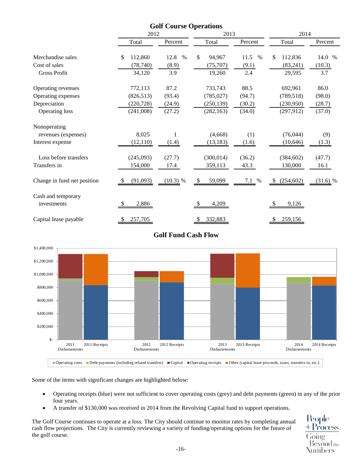|                             | 2012            |              | 2013          |              | 2014             |            |  |
|-----------------------------|-----------------|--------------|---------------|--------------|------------------|------------|--|
|                             | Total           | Percent      | Total         | Percent      | Total            | Percent    |  |
| Merchandise sales           | 112,860<br>\$   | 12.8<br>$\%$ | \$<br>94,967  | 11.5<br>$\%$ | 112,836<br>\$    | 14.0 %     |  |
| Cost of sales               | (78, 740)       | (8.9)        | (75,707)      | (9.1)        | (83,241)         | (10.3)     |  |
| <b>Gross Profit</b>         | 34,120          | 3.9          | 19,260        | 2.4          | 29,595           | 3.7        |  |
| Operating revenues          | 772,113         | 87.2         | 733,743       | 88.5         | 692,961          | 86.0       |  |
| Operating expenses          | (826, 513)      | (93.4)       | (785, 027)    | (94.7)       | (789, 518)       | (98.0)     |  |
| Depreciation                | (220, 728)      | (24.9)       | (250, 139)    | (30.2)       | (230,950)        | (28.7)     |  |
| Operating loss              | (241,008)       | (27.2)       | (282, 163)    | (34.0)       | (297, 912)       | (37.0)     |  |
| Nonoperating                |                 |              |               |              |                  |            |  |
| revenues (expenses)         | 8,025           |              | (4,668)       | (1)          | (76,044)         | (9)        |  |
| Interest expense            | (12, 110)       | (1.4)        | (13, 183)     | (1.6)        | (10, 646)        | (1.3)      |  |
| Loss before transfers       | (245,093)       | (27.7)       | (300, 014)    | (36.2)       | (384, 602)       | (47.7)     |  |
| Transfers in                | 154,000         | 17.4         | 359,113       | 43.3         | 130,000          | 16.1       |  |
| Change in fund net position | (91,093)<br>- S | $(10.3)$ %   | 59,099<br>\$  | $7.1\%$      | (254, 602)<br>-S | $(31.6)$ % |  |
| Cash and temporary          |                 |              |               |              |                  |            |  |
| investments                 | 2,886<br>-S     |              | 4,209<br>S    |              | 9,126            |            |  |
| Capital lease payable       | 257,705<br>\$   |              | 332,883<br>\$ |              | 259,156<br>-S    |            |  |

# **Golf Fund Cash Flow**



Some of the items with significant changes are highlighted below:

- Operating receipts (blue) were not sufficient to cover operating costs (grey) and debt payments (green) in any of the prior four years.
- A transfer of \$130,000 was received in 2014 from the Revolving Capital fund to support operations.

The Golf Course continues to operate at a loss. The City should continue to monitor rates by completing annual cash flow projections. The City is currently reviewing a variety of funding/operating options for the future of the golf course.

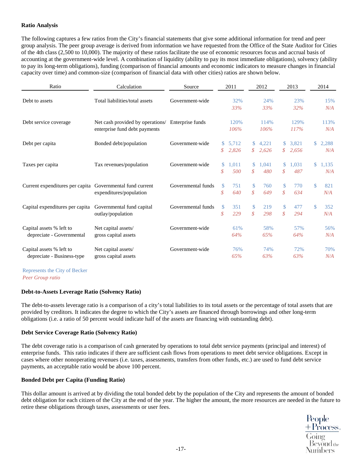# **Ratio Analysis**

The following captures a few ratios from the City's financial statements that give some additional information for trend and peer group analysis. The peer group average is derived from information we have requested from the Office of the State Auditor for Cities of the 4th class (2,500 to 10,000). The majority of these ratios facilitate the use of economic resources focus and accrual basis of accounting at the government-wide level. A combination of liquidity (ability to pay its most immediate obligations), solvency (ability to pay its long-term obligations), funding (comparison of financial amounts and economic indicators to measure changes in financial capacity over time) and common-size (comparison of financial data with other cities) ratios are shown below.

| Ratio                                                     | Calculation                                       | Source             |                | 2011  |                   | 2012  |               | 2013  |                | 2014  |
|-----------------------------------------------------------|---------------------------------------------------|--------------------|----------------|-------|-------------------|-------|---------------|-------|----------------|-------|
| Debt to assets                                            | Total liabilities/total assets                    | Government-wide    |                | 32%   |                   | 24%   |               | 23%   |                | 15%   |
|                                                           |                                                   |                    |                | 33%   |                   | 33%   |               | 32%   |                | N/A   |
| Debt service coverage                                     | Net cash provided by operations/ Enterprise funds |                    |                | 120%  |                   | 114%  |               | 129%  |                | 113%  |
|                                                           | enterprise fund debt payments                     |                    |                | 106%  |                   | 106%  |               | 117%  |                | N/A   |
| Debt per capita                                           | Bonded debt/population                            | Government-wide    | $\mathbb{S}^-$ | 5,712 | \$                | 4,221 | S.            | 3,821 | $\mathbb{S}^-$ | 2,288 |
|                                                           |                                                   |                    | \$             | 2,826 | $\mathcal{S}$     | 2,626 | $\mathcal{S}$ | 2,656 |                | N/A   |
| Taxes per capita                                          | Tax revenues/population                           | Government-wide    | \$             | 1,011 | \$                | 1,041 | <sup>\$</sup> | 1,031 | S.             | 1,135 |
|                                                           |                                                   |                    | \$             | 500   | \$                | 480   | \$            | 487   |                | N/A   |
| Current expenditures per capita Governmental fund current |                                                   | Governmental funds | $\mathbb{S}$   | 751   | \$                | 760   | $\mathbf{\$}$ | 770   | \$             | 821   |
|                                                           | expenditures/population                           |                    | \$             | 640   | $\mathcal{S}_{0}$ | 649   | \$            | 634   |                | N/A   |
| Capital expenditures per capita                           | Governmental fund capital                         | Governmental funds | $\mathbb{S}$   | 351   | \$                | 219   | $\mathbf{\$}$ | 477   | \$             | 352   |
|                                                           | outlay/population                                 |                    | \$             | 229   | \$                | 298   | \$            | 294   |                | N/A   |
| Capital assets % left to                                  | Net capital assets/                               | Government-wide    |                | 61%   |                   | 58%   |               | 57%   |                | 56%   |
| depreciate - Governmental                                 | gross capital assets                              |                    |                | 64%   |                   | 65%   |               | 64%   |                | N/A   |
| Capital assets % left to                                  | Net capital assets/                               | Government-wide    |                | 76%   |                   | 74%   |               | 72%   |                | 70%   |
| depreciate - Business-type                                | gross capital assets                              |                    |                | 65%   |                   | 63%   |               | 63%   |                | N/A   |
|                                                           |                                                   |                    |                |       |                   |       |               |       |                |       |

Represents the City of Becker *Peer Group ratio*

# **Debt-to-Assets Leverage Ratio (Solvency Ratio)**

The debt-to-assets leverage ratio is a comparison of a city's total liabilities to its total assets or the percentage of total assets that are provided by creditors. It indicates the degree to which the City's assets are financed through borrowings and other long-term obligations (i.e. a ratio of 50 percent would indicate half of the assets are financing with outstanding debt).

# **Debt Service Coverage Ratio (Solvency Ratio)**

The debt coverage ratio is a comparison of cash generated by operations to total debt service payments (principal and interest) of enterprise funds. This ratio indicates if there are sufficient cash flows from operations to meet debt service obligations. Except in cases where other nonoperating revenues (i.e. taxes, assessments, transfers from other funds, etc.) are used to fund debt service payments, an acceptable ratio would be above 100 percent.

# **Bonded Debt per Capita (Funding Ratio)**

This dollar amount is arrived at by dividing the total bonded debt by the population of the City and represents the amount of bonded debt obligation for each citizen of the City at the end of the year. The higher the amount, the more resources are needed in the future to retire these obligations through taxes, assessments or user fees.

People<br>+Process.<br>Going<br>Beyond the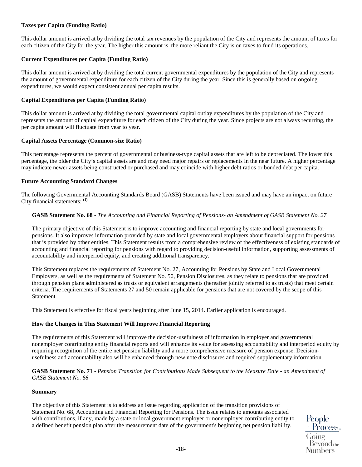# **Taxes per Capita (Funding Ratio)**

This dollar amount is arrived at by dividing the total tax revenues by the population of the City and represents the amount of taxes for each citizen of the City for the year. The higher this amount is, the more reliant the City is on taxes to fund its operations.

# **Current Expenditures per Capita (Funding Ratio)**

This dollar amount is arrived at by dividing the total current governmental expenditures by the population of the City and represents the amount of governmental expenditure for each citizen of the City during the year. Since this is generally based on ongoing expenditures, we would expect consistent annual per capita results.

#### **Capital Expenditures per Capita (Funding Ratio)**

This dollar amount is arrived at by dividing the total governmental capital outlay expenditures by the population of the City and represents the amount of capital expenditure for each citizen of the City during the year. Since projects are not always recurring, the per capita amount will fluctuate from year to year.

#### **Capital Assets Percentage (Common-size Ratio)**

This percentage represents the percent of governmental or business-type capital assets that are left to be depreciated. The lower this percentage, the older the City's capital assets are and may need major repairs or replacements in the near future. A higher percentage may indicate newer assets being constructed or purchased and may coincide with higher debt ratios or bonded debt per capita.

# **Future Accounting Standard Changes**

The following Governmental Accounting Standards Board (GASB) Statements have been issued and may have an impact on future City financial statements: **(1)** 

#### **GASB Statement No. 68** - *The Accounting and Financial Reporting of Pensions- an Amendment of GASB Statement No. 27*

The primary objective of this Statement is to improve accounting and financial reporting by state and local governments for pensions. It also improves information provided by state and local governmental employers about financial support for pensions that is provided by other entities. This Statement results from a comprehensive review of the effectiveness of existing standards of accounting and financial reporting for pensions with regard to providing decision-useful information, supporting assessments of accountability and interperiod equity, and creating additional transparency.

This Statement replaces the requirements of Statement No. 27, Accounting for Pensions by State and Local Governmental Employers, as well as the requirements of Statement No. 50, Pension Disclosures, as they relate to pensions that are provided through pension plans administered as trusts or equivalent arrangements (hereafter jointly referred to as trusts) that meet certain criteria. The requirements of Statements 27 and 50 remain applicable for pensions that are not covered by the scope of this Statement.

This Statement is effective for fiscal years beginning after June 15, 2014. Earlier application is encouraged.

# **How the Changes in This Statement Will Improve Financial Reporting**

The requirements of this Statement will improve the decision-usefulness of information in employer and governmental nonemployer contributing entity financial reports and will enhance its value for assessing accountability and interperiod equity by requiring recognition of the entire net pension liability and a more comprehensive measure of pension expense. Decisionusefulness and accountability also will be enhanced through new note disclosures and required supplementary information.

**GASB Statement No. 71** - *Pension Transition for Contributions Made Subsequent to the Measure Date - an Amendment of GASB Statement No. 68*

#### **Summary**

The objective of this Statement is to address an issue regarding application of the transition provisions of Statement No. 68, Accounting and Financial Reporting for Pensions. The issue relates to amounts associated with contributions, if any, made by a state or local government employer or nonemployer contributing entity to a defined benefit pension plan after the measurement date of the government's beginning net pension liability.

People  $+$ Process. Bevond<sub>the</sub> Numbers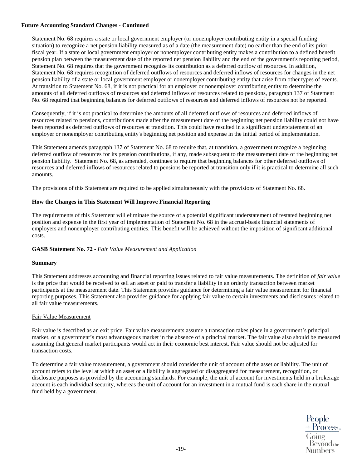# **Future Accounting Standard Changes - Continued**

Statement No. 68 requires a state or local government employer (or nonemployer contributing entity in a special funding situation) to recognize a net pension liability measured as of a date (the measurement date) no earlier than the end of its prior fiscal year. If a state or local government employer or nonemployer contributing entity makes a contribution to a defined benefit pension plan between the measurement date of the reported net pension liability and the end of the government's reporting period, Statement No. 68 requires that the government recognize its contribution as a deferred outflow of resources. In addition, Statement No. 68 requires recognition of deferred outflows of resources and deferred inflows of resources for changes in the net pension liability of a state or local government employer or nonemployer contributing entity that arise from other types of events. At transition to Statement No. 68, if it is not practical for an employer or nonemployer contributing entity to determine the amounts of all deferred outflows of resources and deferred inflows of resources related to pensions, paragraph 137 of Statement No. 68 required that beginning balances for deferred outflows of resources and deferred inflows of resources not be reported.

Consequently, if it is not practical to determine the amounts of all deferred outflows of resources and deferred inflows of resources related to pensions, contributions made after the measurement date of the beginning net pension liability could not have been reported as deferred outflows of resources at transition. This could have resulted in a significant understatement of an employer or nonemployer contributing entity's beginning net position and expense in the initial period of implementation.

This Statement amends paragraph 137 of Statement No. 68 to require that, at transition, a government recognize a beginning deferred outflow of resources for its pension contributions, if any, made subsequent to the measurement date of the beginning net pension liability. Statement No. 68, as amended, continues to require that beginning balances for other deferred outflows of resources and deferred inflows of resources related to pensions be reported at transition only if it is practical to determine all such amounts.

The provisions of this Statement are required to be applied simultaneously with the provisions of Statement No. 68.

#### **How the Changes in This Statement Will Improve Financial Reporting**

The requirements of this Statement will eliminate the source of a potential significant understatement of restated beginning net position and expense in the first year of implementation of Statement No. 68 in the accrual-basis financial statements of employers and nonemployer contributing entities. This benefit will be achieved without the imposition of significant additional costs.

#### **GASB Statement No. 72** - *Fair Value Measurement and Application*

#### **Summary**

This Statement addresses accounting and financial reporting issues related to fair value measurements. The definition of *fair value*  is the price that would be received to sell an asset or paid to transfer a liability in an orderly transaction between market participants at the measurement date. This Statement provides guidance for determining a fair value measurement for financial reporting purposes. This Statement also provides guidance for applying fair value to certain investments and disclosures related to all fair value measurements.

#### Fair Value Measurement

Fair value is described as an exit price. Fair value measurements assume a transaction takes place in a government's principal market, or a government's most advantageous market in the absence of a principal market. The fair value also should be measured assuming that general market participants would act in their economic best interest. Fair value should not be adjusted for transaction costs.

To determine a fair value measurement, a government should consider the unit of account of the asset or liability. The unit of account refers to the level at which an asset or a liability is aggregated or disaggregated for measurement, recognition, or disclosure purposes as provided by the accounting standards. For example, the unit of account for investments held in a brokerage account is each individual security, whereas the unit of account for an investment in a mutual fund is each share in the mutual fund held by a government.

People<br>+Process<sub>\*</sub>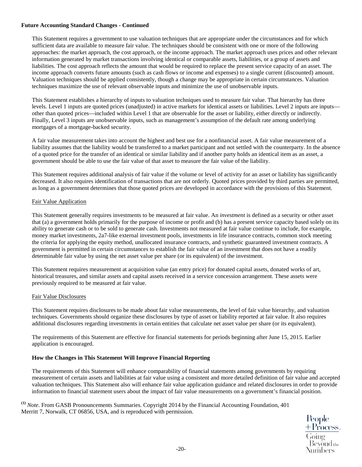# **Future Accounting Standard Changes - Continued**

This Statement requires a government to use valuation techniques that are appropriate under the circumstances and for which sufficient data are available to measure fair value. The techniques should be consistent with one or more of the following approaches: the market approach, the cost approach, or the income approach. The market approach uses prices and other relevant information generated by market transactions involving identical or comparable assets, liabilities, or a group of assets and liabilities. The cost approach reflects the amount that would be required to replace the present service capacity of an asset. The income approach converts future amounts (such as cash flows or income and expenses) to a single current (discounted) amount. Valuation techniques should be applied consistently, though a change may be appropriate in certain circumstances. Valuation techniques maximize the use of relevant observable inputs and minimize the use of unobservable inputs.

This Statement establishes a hierarchy of inputs to valuation techniques used to measure fair value. That hierarchy has three levels. Level 1 inputs are quoted prices (unadjusted) in active markets for identical assets or liabilities. Level 2 inputs are inputs other than quoted prices—included within Level 1 that are observable for the asset or liability, either directly or indirectly. Finally, Level 3 inputs are unobservable inputs, such as management's assumption of the default rate among underlying mortgages of a mortgage-backed security.

A fair value measurement takes into account the highest and best use for a nonfinancial asset. A fair value measurement of a liability assumes that the liability would be transferred to a market participant and not settled with the counterparty. In the absence of a quoted price for the transfer of an identical or similar liability and if another party holds an identical item as an asset, a government should be able to use the fair value of that asset to measure the fair value of the liability.

This Statement requires additional analysis of fair value if the volume or level of activity for an asset or liability has significantly decreased. It also requires identification of transactions that are not orderly. Quoted prices provided by third parties are permitted, as long as a government determines that those quoted prices are developed in accordance with the provisions of this Statement.

#### Fair Value Application

This Statement generally requires investments to be measured at fair value. An *investment* is defined as a security or other asset that (a) a government holds primarily for the purpose of income or profit and (b) has a present service capacity based solely on its ability to generate cash or to be sold to generate cash. Investments not measured at fair value continue to include, for example, money market investments, 2a7-like external investment pools, investments in life insurance contracts, common stock meeting the criteria for applying the equity method, unallocated insurance contracts, and synthetic guaranteed investment contracts. A government is permitted in certain circumstances to establish the fair value of an investment that does not have a readily determinable fair value by using the net asset value per share (or its equivalent) of the investment.

This Statement requires measurement at acquisition value (an entry price) for donated capital assets, donated works of art, historical treasures, and similar assets and capital assets received in a service concession arrangement. These assets were previously required to be measured at fair value.

#### Fair Value Disclosures

This Statement requires disclosures to be made about fair value measurements, the level of fair value hierarchy, and valuation techniques. Governments should organize these disclosures by type of asset or liability reported at fair value. It also requires additional disclosures regarding investments in certain entities that calculate net asset value per share (or its equivalent).

The requirements of this Statement are effective for financial statements for periods beginning after June 15, 2015. Earlier application is encouraged.

# **How the Changes in This Statement Will Improve Financial Reporting**

The requirements of this Statement will enhance comparability of financial statements among governments by requiring measurement of certain assets and liabilities at fair value using a consistent and more detailed definition of fair value and accepted valuation techniques. This Statement also will enhance fair value application guidance and related disclosures in order to provide information to financial statement users about the impact of fair value measurements on a government's financial position.

**(1)** *Note*. From GASB Pronouncements Summaries. Copyright 2014 by the Financial Accounting Foundation, 401 Merritt 7, Norwalk, CT 06856, USA, and is reproduced with permission.

People  $\pm$  Process.